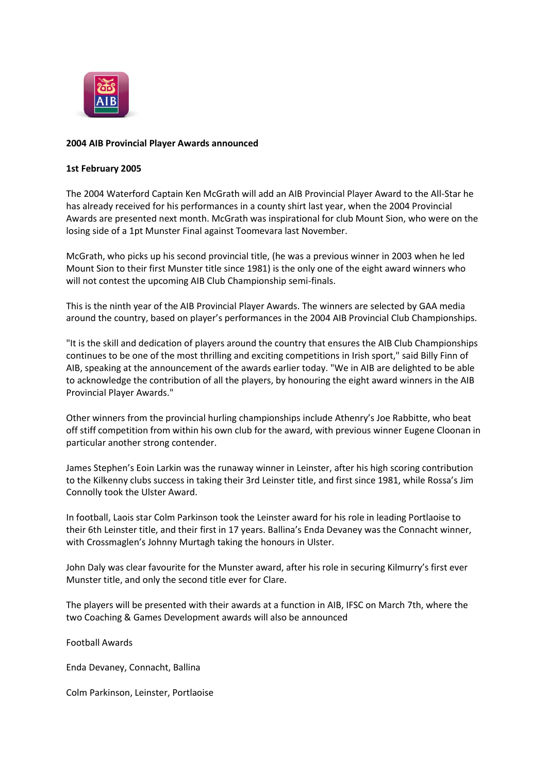

## **2004 AIB Provincial Player Awards announced**

## **1st February 2005**

The 2004 Waterford Captain Ken McGrath will add an AIB Provincial Player Award to the All-Star he has already received for his performances in a county shirt last year, when the 2004 Provincial Awards are presented next month. McGrath was inspirational for club Mount Sion, who were on the losing side of a 1pt Munster Final against Toomevara last November.

McGrath, who picks up his second provincial title, (he was a previous winner in 2003 when he led Mount Sion to their first Munster title since 1981) is the only one of the eight award winners who will not contest the upcoming AIB Club Championship semi-finals.

This is the ninth year of the AIB Provincial Player Awards. The winners are selected by GAA media around the country, based on player's performances in the 2004 AIB Provincial Club Championships.

"It is the skill and dedication of players around the country that ensures the AIB Club Championships continues to be one of the most thrilling and exciting competitions in Irish sport," said Billy Finn of AIB, speaking at the announcement of the awards earlier today. "We in AIB are delighted to be able to acknowledge the contribution of all the players, by honouring the eight award winners in the AIB Provincial Player Awards."

Other winners from the provincial hurling championships include Athenry's Joe Rabbitte, who beat off stiff competition from within his own club for the award, with previous winner Eugene Cloonan in particular another strong contender.

James Stephen's Eoin Larkin was the runaway winner in Leinster, after his high scoring contribution to the Kilkenny clubs success in taking their 3rd Leinster title, and first since 1981, while Rossa's Jim Connolly took the Ulster Award.

In football, Laois star Colm Parkinson took the Leinster award for his role in leading Portlaoise to their 6th Leinster title, and their first in 17 years. Ballina's Enda Devaney was the Connacht winner, with Crossmaglen's Johnny Murtagh taking the honours in Ulster.

John Daly was clear favourite for the Munster award, after his role in securing Kilmurry's first ever Munster title, and only the second title ever for Clare.

The players will be presented with their awards at a function in AIB, IFSC on March 7th, where the two Coaching & Games Development awards will also be announced

Football Awards

Enda Devaney, Connacht, Ballina

Colm Parkinson, Leinster, Portlaoise